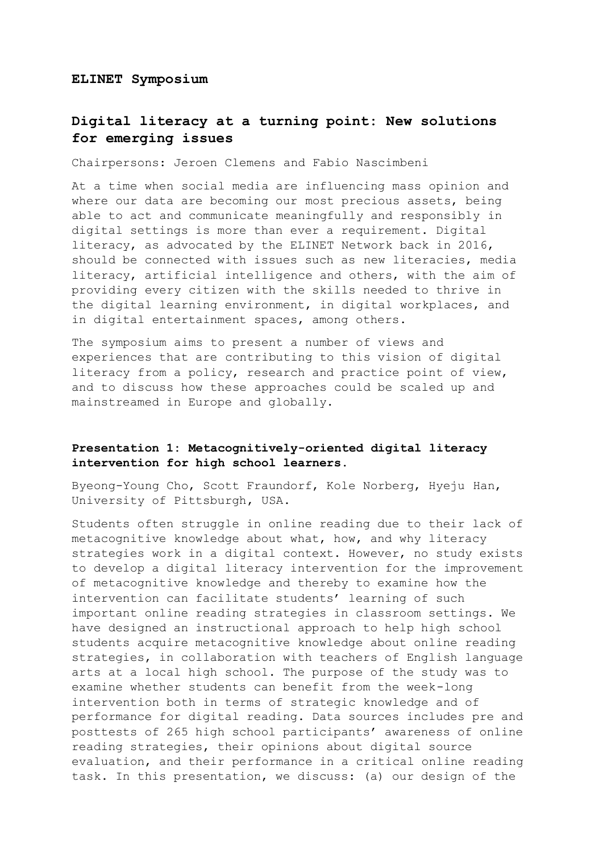#### **ELINET Symposium**

# **Digital literacy at a turning point: New solutions for emerging issues**

Chairpersons: Jeroen Clemens and Fabio Nascimbeni

At a time when social media are influencing mass opinion and where our data are becoming our most precious assets, being able to act and communicate meaningfully and responsibly in digital settings is more than ever a requirement. Digital literacy, as advocated by the ELINET Network back in 2016, should be connected with issues such as new literacies, media literacy, artificial intelligence and others, with the aim of providing every citizen with the skills needed to thrive in the digital learning environment, in digital workplaces, and in digital entertainment spaces, among others.

The symposium aims to present a number of views and experiences that are contributing to this vision of digital literacy from a policy, research and practice point of view, and to discuss how these approaches could be scaled up and mainstreamed in Europe and globally.

### **Presentation 1: Metacognitively-oriented digital literacy intervention for high school learners.**

Byeong-Young Cho, Scott Fraundorf, Kole Norberg, Hyeju Han, University of Pittsburgh, USA.

Students often struggle in online reading due to their lack of metacognitive knowledge about what, how, and why literacy strategies work in a digital context. However, no study exists to develop a digital literacy intervention for the improvement of metacognitive knowledge and thereby to examine how the intervention can facilitate students' learning of such important online reading strategies in classroom settings. We have designed an instructional approach to help high school students acquire metacognitive knowledge about online reading strategies, in collaboration with teachers of English language arts at a local high school. The purpose of the study was to examine whether students can benefit from the week-long intervention both in terms of strategic knowledge and of performance for digital reading. Data sources includes pre and posttests of 265 high school participants' awareness of online reading strategies, their opinions about digital source evaluation, and their performance in a critical online reading task. In this presentation, we discuss: (a) our design of the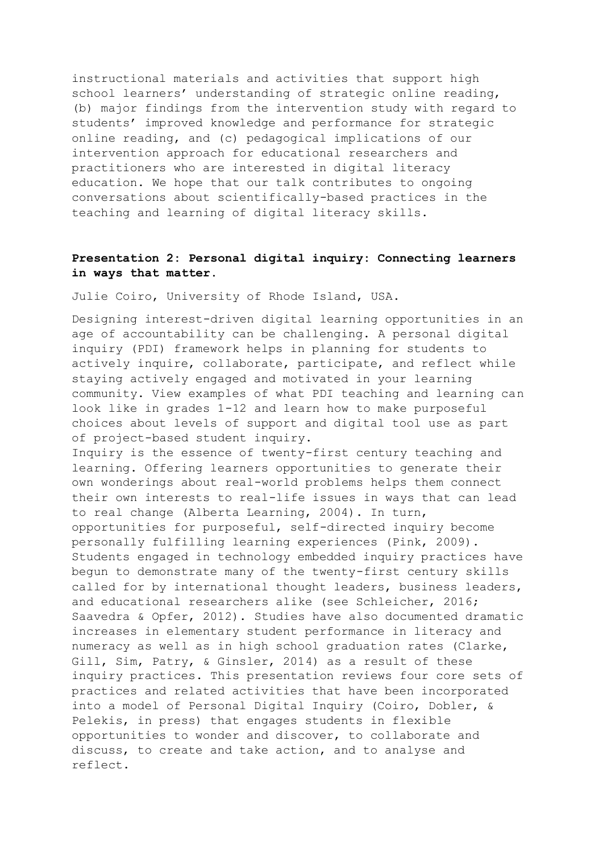instructional materials and activities that support high school learners' understanding of strategic online reading, (b) major findings from the intervention study with regard to students' improved knowledge and performance for strategic online reading, and (c) pedagogical implications of our intervention approach for educational researchers and practitioners who are interested in digital literacy education. We hope that our talk contributes to ongoing conversations about scientifically-based practices in the teaching and learning of digital literacy skills.

# **Presentation 2: Personal digital inquiry: Connecting learners in ways that matter.**

Julie Coiro, University of Rhode Island, USA.

Designing interest-driven digital learning opportunities in an age of accountability can be challenging. A personal digital inquiry (PDI) framework helps in planning for students to actively inquire, collaborate, participate, and reflect while staying actively engaged and motivated in your learning community. View examples of what PDI teaching and learning can look like in grades 1-12 and learn how to make purposeful choices about levels of support and digital tool use as part of project-based student inquiry.

Inquiry is the essence of twenty-first century teaching and learning. Offering learners opportunities to generate their own wonderings about real-world problems helps them connect their own interests to real-life issues in ways that can lead to real change (Alberta Learning, 2004). In turn, opportunities for purposeful, self-directed inquiry become personally fulfilling learning experiences (Pink, 2009). Students engaged in technology embedded inquiry practices have begun to demonstrate many of the twenty-first century skills called for by international thought leaders, business leaders, and educational researchers alike (see Schleicher, 2016; Saavedra & Opfer, 2012). Studies have also documented dramatic increases in elementary student performance in literacy and numeracy as well as in high school graduation rates (Clarke, Gill, Sim, Patry, & Ginsler, 2014) as a result of these inquiry practices. This presentation reviews four core sets of practices and related activities that have been incorporated into a model of Personal Digital Inquiry (Coiro, Dobler, & Pelekis, in press) that engages students in flexible opportunities to wonder and discover, to collaborate and discuss, to create and take action, and to analyse and reflect.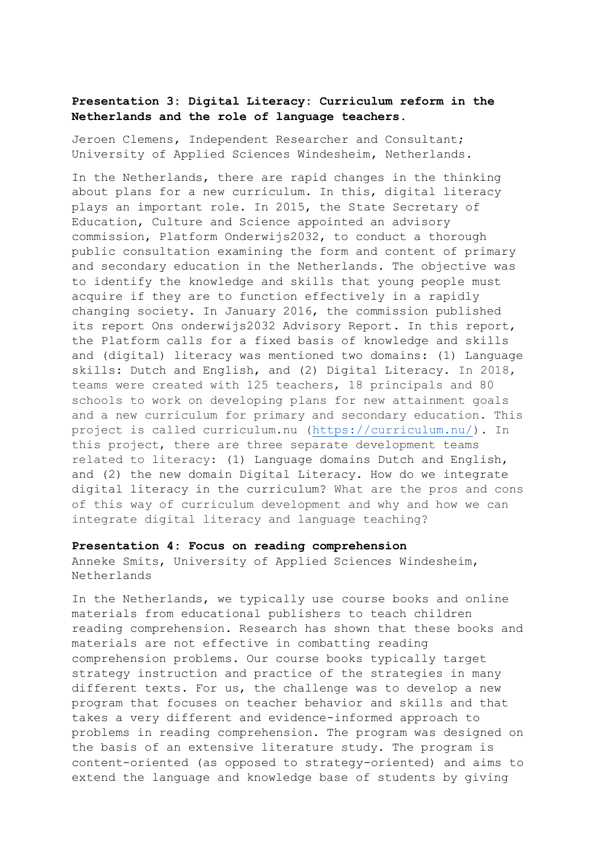# **Presentation 3: Digital Literacy: Curriculum reform in the Netherlands and the role of language teachers.**

Jeroen Clemens, Independent Researcher and Consultant; University of Applied Sciences Windesheim, Netherlands.

In the Netherlands, there are rapid changes in the thinking about plans for a new curriculum. In this, digital literacy plays an important role. In 2015, the State Secretary of Education, Culture and Science appointed an advisory commission, Platform Onderwijs2032, to conduct a thorough public consultation examining the form and content of primary and secondary education in the Netherlands. The objective was to identify the knowledge and skills that young people must acquire if they are to function effectively in a rapidly changing society. In January 2016, the commission published its report Ons onderwijs2032 Advisory Report. In this report, the Platform calls for a fixed basis of knowledge and skills and (digital) literacy was mentioned two domains: (1) Language skills: Dutch and English, and (2) Digital Literacy. In 2018, teams were created with 125 teachers, 18 principals and 80 schools to work on developing plans for new attainment goals and a new curriculum for primary and secondary education. This project is called curriculum.nu [\(https://curriculum.nu/\)](https://curriculum.nu/). In this project, there are three separate development teams related to literacy: (1) Language domains Dutch and English, and (2) the new domain Digital Literacy. How do we integrate digital literacy in the curriculum? What are the pros and cons of this way of curriculum development and why and how we can integrate digital literacy and language teaching?

#### **Presentation 4: Focus on reading comprehension**

Anneke Smits, University of Applied Sciences Windesheim, Netherlands

In the Netherlands, we typically use course books and online materials from educational publishers to teach children reading comprehension. Research has shown that these books and materials are not effective in combatting reading comprehension problems. Our course books typically target strategy instruction and practice of the strategies in many different texts. For us, the challenge was to develop a new program that focuses on teacher behavior and skills and that takes a very different and evidence-informed approach to problems in reading comprehension. The program was designed on the basis of an extensive literature study. The program is content-oriented (as opposed to strategy-oriented) and aims to extend the language and knowledge base of students by giving